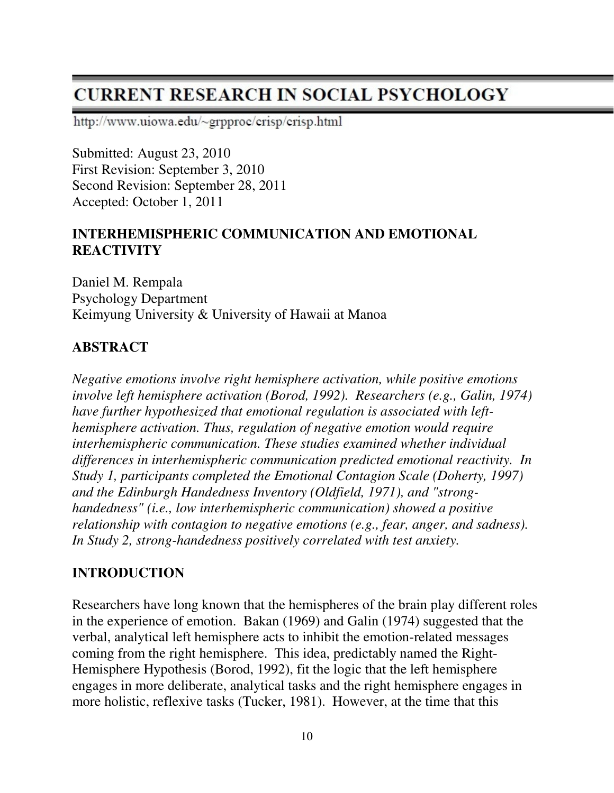# **CURRENT RESEARCH IN SOCIAL PSYCHOLOGY**

http://www.uiowa.edu/~grpproc/crisp/crisp.html

Submitted: August 23, 2010 First Revision: September 3, 2010 Second Revision: September 28, 2011 Accepted: October 1, 2011

### **INTERHEMISPHERIC COMMUNICATION AND EMOTIONAL REACTIVITY**

Daniel M. Rempala Psychology Department Keimyung University & University of Hawaii at Manoa

#### **ABSTRACT**

*Negative emotions involve right hemisphere activation, while positive emotions involve left hemisphere activation (Borod, 1992). Researchers (e.g., Galin, 1974) have further hypothesized that emotional regulation is associated with lefthemisphere activation. Thus, regulation of negative emotion would require interhemispheric communication. These studies examined whether individual differences in interhemispheric communication predicted emotional reactivity. In Study 1, participants completed the Emotional Contagion Scale (Doherty, 1997) and the Edinburgh Handedness Inventory (Oldfield, 1971), and "stronghandedness" (i.e., low interhemispheric communication) showed a positive relationship with contagion to negative emotions (e.g., fear, anger, and sadness). In Study 2, strong-handedness positively correlated with test anxiety.* 

#### **INTRODUCTION**

Researchers have long known that the hemispheres of the brain play different roles in the experience of emotion. Bakan (1969) and Galin (1974) suggested that the verbal, analytical left hemisphere acts to inhibit the emotion-related messages coming from the right hemisphere. This idea, predictably named the Right-Hemisphere Hypothesis (Borod, 1992), fit the logic that the left hemisphere engages in more deliberate, analytical tasks and the right hemisphere engages in more holistic, reflexive tasks (Tucker, 1981). However, at the time that this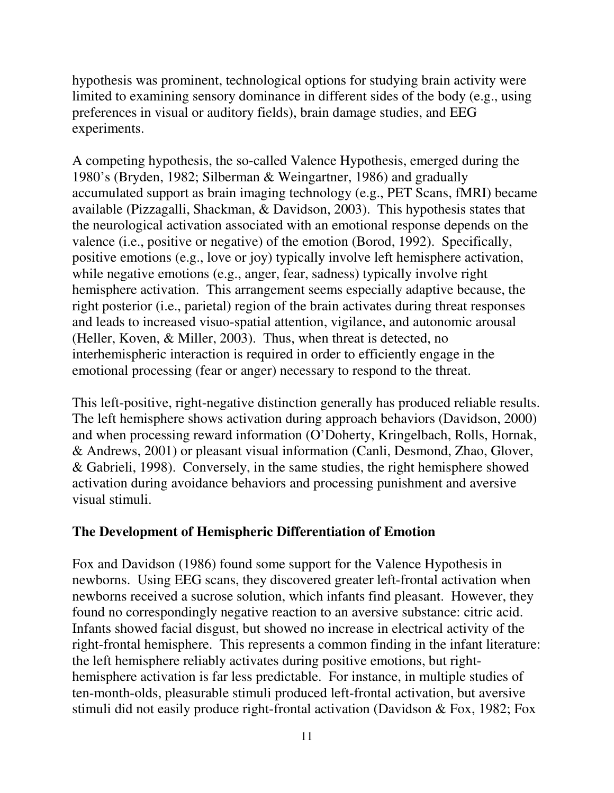hypothesis was prominent, technological options for studying brain activity were limited to examining sensory dominance in different sides of the body (e.g., using preferences in visual or auditory fields), brain damage studies, and EEG experiments.

A competing hypothesis, the so-called Valence Hypothesis, emerged during the 1980's (Bryden, 1982; Silberman & Weingartner, 1986) and gradually accumulated support as brain imaging technology (e.g., PET Scans, fMRI) became available (Pizzagalli, Shackman, & Davidson, 2003). This hypothesis states that the neurological activation associated with an emotional response depends on the valence (i.e., positive or negative) of the emotion (Borod, 1992). Specifically, positive emotions (e.g., love or joy) typically involve left hemisphere activation, while negative emotions (e.g., anger, fear, sadness) typically involve right hemisphere activation. This arrangement seems especially adaptive because, the right posterior (i.e., parietal) region of the brain activates during threat responses and leads to increased visuo-spatial attention, vigilance, and autonomic arousal (Heller, Koven, & Miller, 2003). Thus, when threat is detected, no interhemispheric interaction is required in order to efficiently engage in the emotional processing (fear or anger) necessary to respond to the threat.

This left-positive, right-negative distinction generally has produced reliable results. The left hemisphere shows activation during approach behaviors (Davidson, 2000) and when processing reward information (O'Doherty, Kringelbach, Rolls, Hornak, & Andrews, 2001) or pleasant visual information (Canli, Desmond, Zhao, Glover, & Gabrieli, 1998). Conversely, in the same studies, the right hemisphere showed activation during avoidance behaviors and processing punishment and aversive visual stimuli.

## **The Development of Hemispheric Differentiation of Emotion**

Fox and Davidson (1986) found some support for the Valence Hypothesis in newborns. Using EEG scans, they discovered greater left-frontal activation when newborns received a sucrose solution, which infants find pleasant. However, they found no correspondingly negative reaction to an aversive substance: citric acid. Infants showed facial disgust, but showed no increase in electrical activity of the right-frontal hemisphere. This represents a common finding in the infant literature: the left hemisphere reliably activates during positive emotions, but righthemisphere activation is far less predictable. For instance, in multiple studies of ten-month-olds, pleasurable stimuli produced left-frontal activation, but aversive stimuli did not easily produce right-frontal activation (Davidson & Fox, 1982; Fox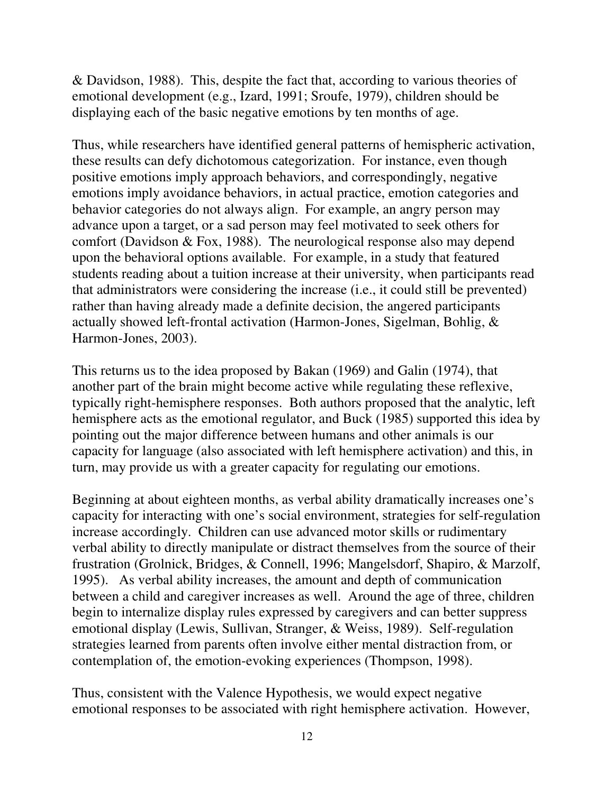& Davidson, 1988). This, despite the fact that, according to various theories of emotional development (e.g., Izard, 1991; Sroufe, 1979), children should be displaying each of the basic negative emotions by ten months of age.

Thus, while researchers have identified general patterns of hemispheric activation, these results can defy dichotomous categorization. For instance, even though positive emotions imply approach behaviors, and correspondingly, negative emotions imply avoidance behaviors, in actual practice, emotion categories and behavior categories do not always align. For example, an angry person may advance upon a target, or a sad person may feel motivated to seek others for comfort (Davidson & Fox, 1988). The neurological response also may depend upon the behavioral options available. For example, in a study that featured students reading about a tuition increase at their university, when participants read that administrators were considering the increase (i.e., it could still be prevented) rather than having already made a definite decision, the angered participants actually showed left-frontal activation (Harmon-Jones, Sigelman, Bohlig, & Harmon-Jones, 2003).

This returns us to the idea proposed by Bakan (1969) and Galin (1974), that another part of the brain might become active while regulating these reflexive, typically right-hemisphere responses. Both authors proposed that the analytic, left hemisphere acts as the emotional regulator, and Buck (1985) supported this idea by pointing out the major difference between humans and other animals is our capacity for language (also associated with left hemisphere activation) and this, in turn, may provide us with a greater capacity for regulating our emotions.

Beginning at about eighteen months, as verbal ability dramatically increases one's capacity for interacting with one's social environment, strategies for self-regulation increase accordingly. Children can use advanced motor skills or rudimentary verbal ability to directly manipulate or distract themselves from the source of their frustration (Grolnick, Bridges, & Connell, 1996; Mangelsdorf, Shapiro, & Marzolf, 1995). As verbal ability increases, the amount and depth of communication between a child and caregiver increases as well. Around the age of three, children begin to internalize display rules expressed by caregivers and can better suppress emotional display (Lewis, Sullivan, Stranger, & Weiss, 1989). Self-regulation strategies learned from parents often involve either mental distraction from, or contemplation of, the emotion-evoking experiences (Thompson, 1998).

Thus, consistent with the Valence Hypothesis, we would expect negative emotional responses to be associated with right hemisphere activation. However,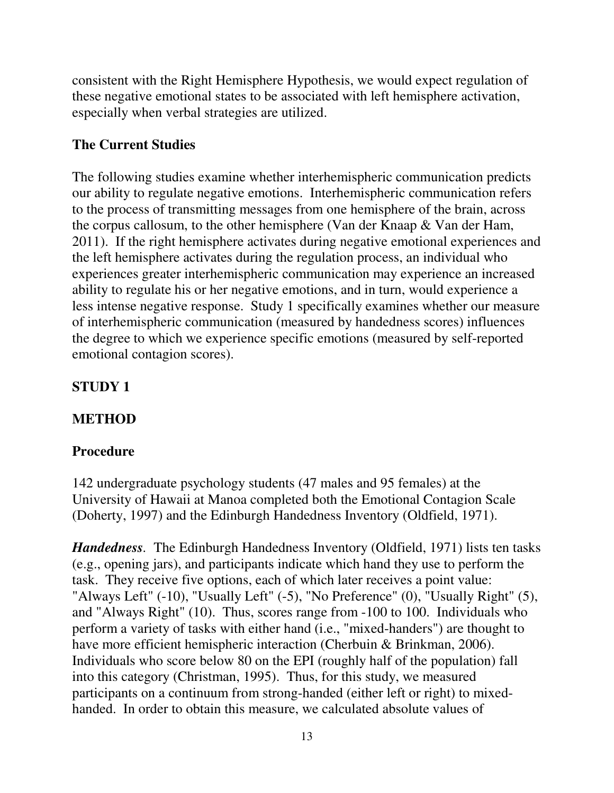consistent with the Right Hemisphere Hypothesis, we would expect regulation of these negative emotional states to be associated with left hemisphere activation, especially when verbal strategies are utilized.

# **The Current Studies**

The following studies examine whether interhemispheric communication predicts our ability to regulate negative emotions. Interhemispheric communication refers to the process of transmitting messages from one hemisphere of the brain, across the corpus callosum, to the other hemisphere (Van der Knaap & Van der Ham, 2011). If the right hemisphere activates during negative emotional experiences and the left hemisphere activates during the regulation process, an individual who experiences greater interhemispheric communication may experience an increased ability to regulate his or her negative emotions, and in turn, would experience a less intense negative response. Study 1 specifically examines whether our measure of interhemispheric communication (measured by handedness scores) influences the degree to which we experience specific emotions (measured by self-reported emotional contagion scores).

# **STUDY 1**

# **METHOD**

# **Procedure**

142 undergraduate psychology students (47 males and 95 females) at the University of Hawaii at Manoa completed both the Emotional Contagion Scale (Doherty, 1997) and the Edinburgh Handedness Inventory (Oldfield, 1971).

*Handedness.* The Edinburgh Handedness Inventory (Oldfield, 1971) lists ten tasks (e.g., opening jars), and participants indicate which hand they use to perform the task. They receive five options, each of which later receives a point value: "Always Left" (-10), "Usually Left" (-5), "No Preference" (0), "Usually Right" (5), and "Always Right" (10). Thus, scores range from -100 to 100. Individuals who perform a variety of tasks with either hand (i.e., "mixed-handers") are thought to have more efficient hemispheric interaction (Cherbuin & Brinkman, 2006). Individuals who score below 80 on the EPI (roughly half of the population) fall into this category (Christman, 1995). Thus, for this study, we measured participants on a continuum from strong-handed (either left or right) to mixedhanded. In order to obtain this measure, we calculated absolute values of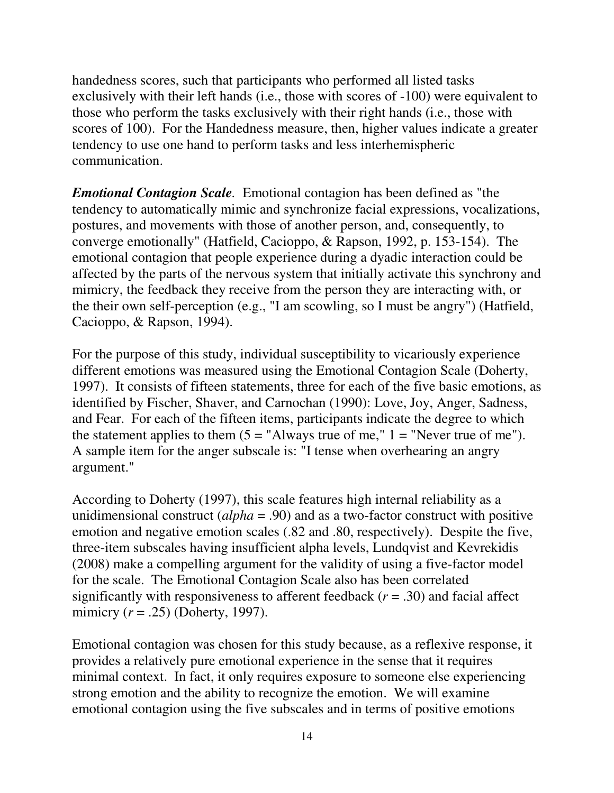handedness scores, such that participants who performed all listed tasks exclusively with their left hands (i.e., those with scores of -100) were equivalent to those who perform the tasks exclusively with their right hands (i.e., those with scores of 100). For the Handedness measure, then, higher values indicate a greater tendency to use one hand to perform tasks and less interhemispheric communication.

*Emotional Contagion Scale.* Emotional contagion has been defined as "the tendency to automatically mimic and synchronize facial expressions, vocalizations, postures, and movements with those of another person, and, consequently, to converge emotionally" (Hatfield, Cacioppo, & Rapson, 1992, p. 153-154). The emotional contagion that people experience during a dyadic interaction could be affected by the parts of the nervous system that initially activate this synchrony and mimicry, the feedback they receive from the person they are interacting with, or the their own self-perception (e.g., "I am scowling, so I must be angry") (Hatfield, Cacioppo, & Rapson, 1994).

For the purpose of this study, individual susceptibility to vicariously experience different emotions was measured using the Emotional Contagion Scale (Doherty, 1997). It consists of fifteen statements, three for each of the five basic emotions, as identified by Fischer, Shaver, and Carnochan (1990): Love, Joy, Anger, Sadness, and Fear. For each of the fifteen items, participants indicate the degree to which the statement applies to them  $(5 = "Always true of me," 1 = "Never true of me").$ A sample item for the anger subscale is: "I tense when overhearing an angry argument."

According to Doherty (1997), this scale features high internal reliability as a unidimensional construct (*alpha* = .90) and as a two-factor construct with positive emotion and negative emotion scales (.82 and .80, respectively). Despite the five, three-item subscales having insufficient alpha levels, Lundqvist and Kevrekidis (2008) make a compelling argument for the validity of using a five-factor model for the scale. The Emotional Contagion Scale also has been correlated significantly with responsiveness to afferent feedback (*r* = .30) and facial affect mimicry (*r* = .25) (Doherty, 1997).

Emotional contagion was chosen for this study because, as a reflexive response, it provides a relatively pure emotional experience in the sense that it requires minimal context. In fact, it only requires exposure to someone else experiencing strong emotion and the ability to recognize the emotion. We will examine emotional contagion using the five subscales and in terms of positive emotions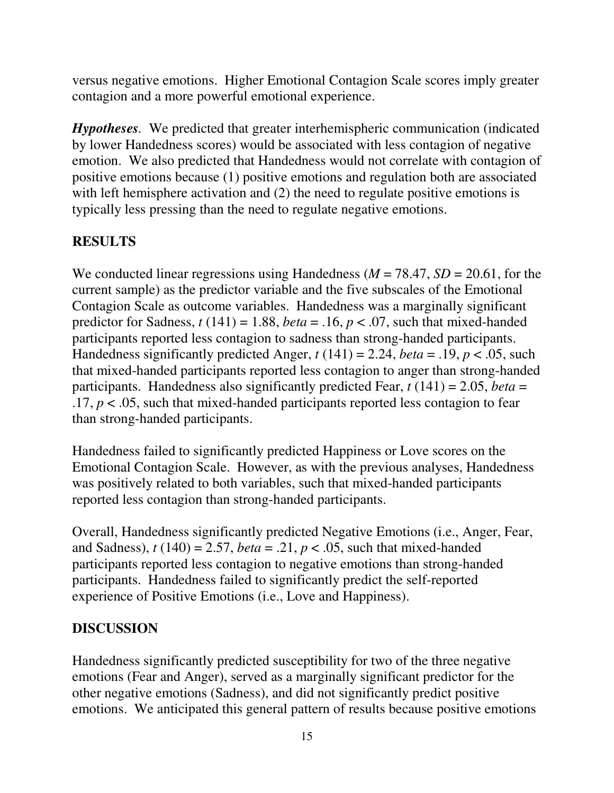versus negative emotions. Higher Emotional Contagion Scale scores imply greater contagion and a more powerful emotional experience.

*Hypotheses.* We predicted that greater interhemispheric communication (indicated by lower Handedness scores) would be associated with less contagion of negative emotion. We also predicted that Handedness would not correlate with contagion of positive emotions because (1) positive emotions and regulation both are associated with left hemisphere activation and (2) the need to regulate positive emotions is typically less pressing than the need to regulate negative emotions.

# **RESULTS**

We conducted linear regressions using Handedness ( $M = 78.47$ ,  $SD = 20.61$ , for the current sample) as the predictor variable and the five subscales of the Emotional Contagion Scale as outcome variables. Handedness was a marginally significant predictor for Sadness,  $t(141) = 1.88$ , *beta* = .16,  $p < .07$ , such that mixed-handed participants reported less contagion to sadness than strong-handed participants. Handedness significantly predicted Anger,  $t(141) = 2.24$ , *beta* = .19,  $p < .05$ , such that mixed-handed participants reported less contagion to anger than strong-handed participants. Handedness also significantly predicted Fear, *t* (141) = 2.05, *beta* =  $.17, p < .05$ , such that mixed-handed participants reported less contagion to fear than strong-handed participants.

Handedness failed to significantly predicted Happiness or Love scores on the Emotional Contagion Scale. However, as with the previous analyses, Handedness was positively related to both variables, such that mixed-handed participants reported less contagion than strong-handed participants.

Overall, Handedness significantly predicted Negative Emotions (i.e., Anger, Fear, and Sadness),  $t(140) = 2.57$ , *beta* = .21,  $p < .05$ , such that mixed-handed participants reported less contagion to negative emotions than strong-handed participants. Handedness failed to significantly predict the self-reported experience of Positive Emotions (i.e., Love and Happiness).

# **DISCUSSION**

Handedness significantly predicted susceptibility for two of the three negative emotions (Fear and Anger), served as a marginally significant predictor for the other negative emotions (Sadness), and did not significantly predict positive emotions. We anticipated this general pattern of results because positive emotions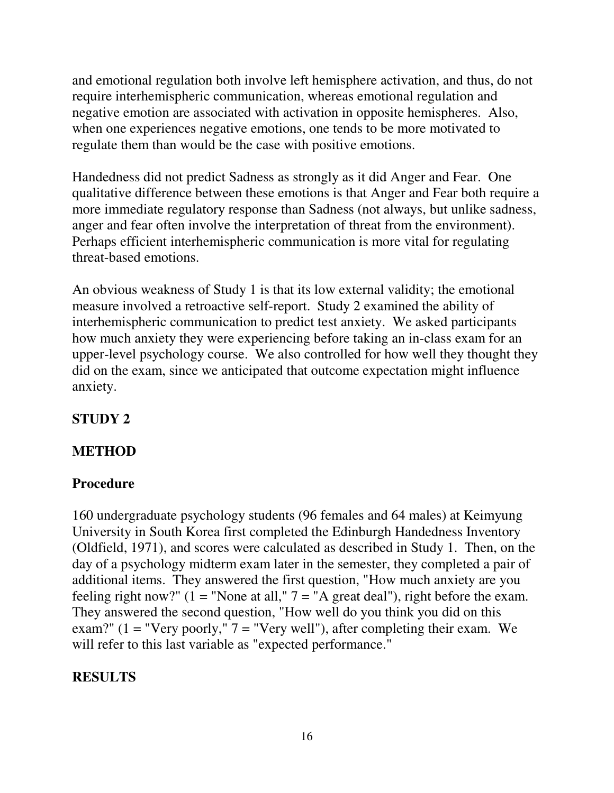and emotional regulation both involve left hemisphere activation, and thus, do not require interhemispheric communication, whereas emotional regulation and negative emotion are associated with activation in opposite hemispheres. Also, when one experiences negative emotions, one tends to be more motivated to regulate them than would be the case with positive emotions.

Handedness did not predict Sadness as strongly as it did Anger and Fear. One qualitative difference between these emotions is that Anger and Fear both require a more immediate regulatory response than Sadness (not always, but unlike sadness, anger and fear often involve the interpretation of threat from the environment). Perhaps efficient interhemispheric communication is more vital for regulating threat-based emotions.

An obvious weakness of Study 1 is that its low external validity; the emotional measure involved a retroactive self-report. Study 2 examined the ability of interhemispheric communication to predict test anxiety. We asked participants how much anxiety they were experiencing before taking an in-class exam for an upper-level psychology course. We also controlled for how well they thought they did on the exam, since we anticipated that outcome expectation might influence anxiety.

# **STUDY 2**

## **METHOD**

# **Procedure**

160 undergraduate psychology students (96 females and 64 males) at Keimyung University in South Korea first completed the Edinburgh Handedness Inventory (Oldfield, 1971), and scores were calculated as described in Study 1. Then, on the day of a psychology midterm exam later in the semester, they completed a pair of additional items. They answered the first question, "How much anxiety are you feeling right now?" ( $1 =$  "None at all,"  $7 =$  "A great deal"), right before the exam. They answered the second question, "How well do you think you did on this exam?" ( $1 =$  "Very poorly,"  $7 =$  "Very well"), after completing their exam. We will refer to this last variable as "expected performance."

# **RESULTS**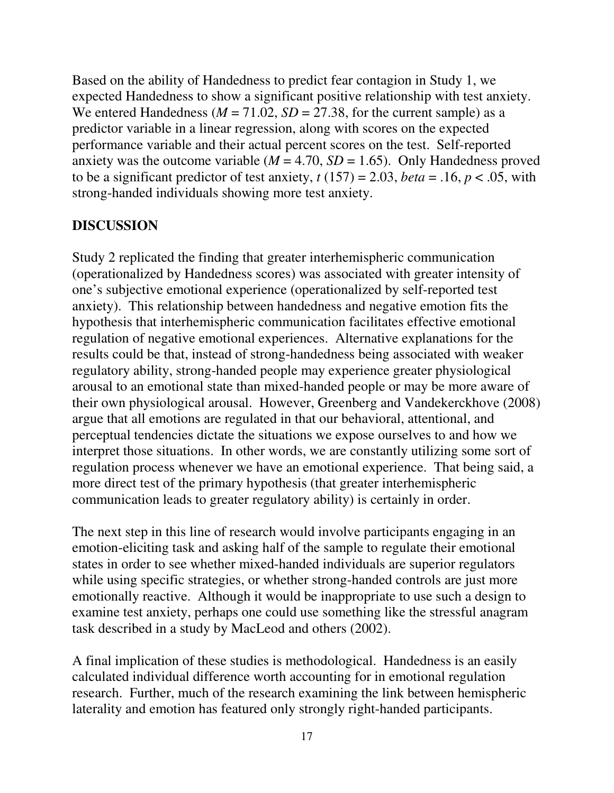Based on the ability of Handedness to predict fear contagion in Study 1, we expected Handedness to show a significant positive relationship with test anxiety. We entered Handedness ( $M = 71.02$ ,  $SD = 27.38$ , for the current sample) as a predictor variable in a linear regression, along with scores on the expected performance variable and their actual percent scores on the test. Self-reported anxiety was the outcome variable ( $M = 4.70$ ,  $SD = 1.65$ ). Only Handedness proved to be a significant predictor of test anxiety,  $t(157) = 2.03$ , *beta* = .16,  $p < .05$ , with strong-handed individuals showing more test anxiety.

#### **DISCUSSION**

Study 2 replicated the finding that greater interhemispheric communication (operationalized by Handedness scores) was associated with greater intensity of one's subjective emotional experience (operationalized by self-reported test anxiety). This relationship between handedness and negative emotion fits the hypothesis that interhemispheric communication facilitates effective emotional regulation of negative emotional experiences. Alternative explanations for the results could be that, instead of strong-handedness being associated with weaker regulatory ability, strong-handed people may experience greater physiological arousal to an emotional state than mixed-handed people or may be more aware of their own physiological arousal. However, Greenberg and Vandekerckhove (2008) argue that all emotions are regulated in that our behavioral, attentional, and perceptual tendencies dictate the situations we expose ourselves to and how we interpret those situations. In other words, we are constantly utilizing some sort of regulation process whenever we have an emotional experience. That being said, a more direct test of the primary hypothesis (that greater interhemispheric communication leads to greater regulatory ability) is certainly in order.

The next step in this line of research would involve participants engaging in an emotion-eliciting task and asking half of the sample to regulate their emotional states in order to see whether mixed-handed individuals are superior regulators while using specific strategies, or whether strong-handed controls are just more emotionally reactive. Although it would be inappropriate to use such a design to examine test anxiety, perhaps one could use something like the stressful anagram task described in a study by MacLeod and others (2002).

A final implication of these studies is methodological. Handedness is an easily calculated individual difference worth accounting for in emotional regulation research. Further, much of the research examining the link between hemispheric laterality and emotion has featured only strongly right-handed participants.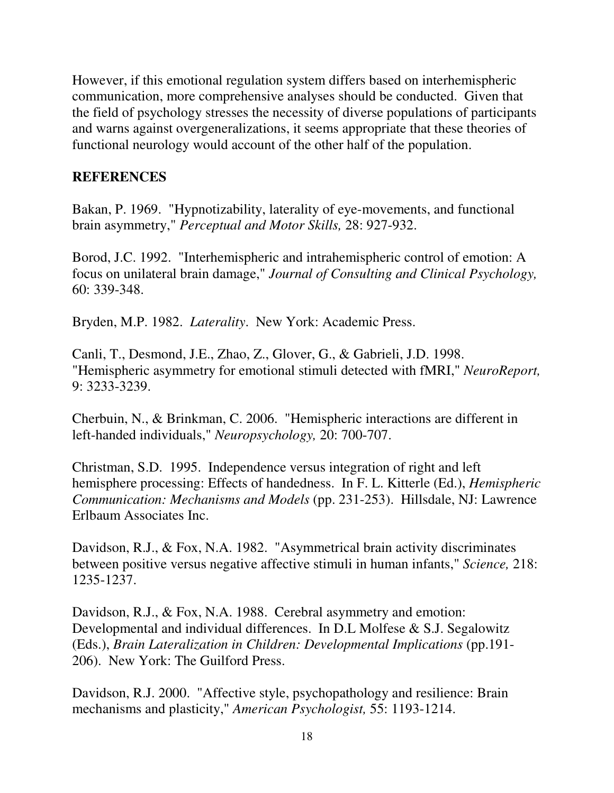However, if this emotional regulation system differs based on interhemispheric communication, more comprehensive analyses should be conducted. Given that the field of psychology stresses the necessity of diverse populations of participants and warns against overgeneralizations, it seems appropriate that these theories of functional neurology would account of the other half of the population.

#### **REFERENCES**

Bakan, P. 1969. "Hypnotizability, laterality of eye-movements, and functional brain asymmetry," *Perceptual and Motor Skills,* 28: 927-932.

Borod, J.C. 1992. "Interhemispheric and intrahemispheric control of emotion: A focus on unilateral brain damage," *Journal of Consulting and Clinical Psychology,*  60: 339-348.

Bryden, M.P. 1982. *Laterality*. New York: Academic Press.

Canli, T., Desmond, J.E., Zhao, Z., Glover, G., & Gabrieli, J.D. 1998. "Hemispheric asymmetry for emotional stimuli detected with fMRI," *NeuroReport,*  9: 3233-3239.

Cherbuin, N., & Brinkman, C. 2006. "Hemispheric interactions are different in left-handed individuals," *Neuropsychology,* 20: 700-707.

Christman, S.D. 1995. Independence versus integration of right and left hemisphere processing: Effects of handedness. In F. L. Kitterle (Ed.), *Hemispheric Communication: Mechanisms and Models* (pp. 231-253). Hillsdale, NJ: Lawrence Erlbaum Associates Inc.

Davidson, R.J., & Fox, N.A. 1982. "Asymmetrical brain activity discriminates between positive versus negative affective stimuli in human infants," *Science,* 218: 1235-1237.

Davidson, R.J., & Fox, N.A. 1988. Cerebral asymmetry and emotion: Developmental and individual differences. In D.L Molfese & S.J. Segalowitz (Eds.), *Brain Lateralization in Children: Developmental Implications* (pp.191- 206). New York: The Guilford Press.

Davidson, R.J. 2000. "Affective style, psychopathology and resilience: Brain mechanisms and plasticity," *American Psychologist,* 55: 1193-1214.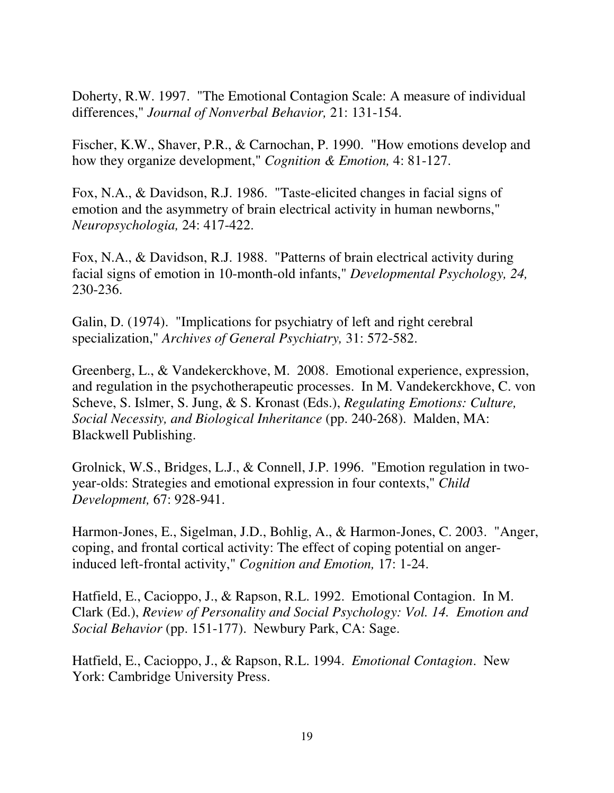Doherty, R.W. 1997. "The Emotional Contagion Scale: A measure of individual differences," *Journal of Nonverbal Behavior,* 21: 131-154.

Fischer, K.W., Shaver, P.R., & Carnochan, P. 1990. "How emotions develop and how they organize development," *Cognition & Emotion,* 4: 81-127.

Fox, N.A., & Davidson, R.J. 1986. "Taste-elicited changes in facial signs of emotion and the asymmetry of brain electrical activity in human newborns," *Neuropsychologia,* 24: 417-422.

Fox, N.A., & Davidson, R.J. 1988. "Patterns of brain electrical activity during facial signs of emotion in 10-month-old infants," *Developmental Psychology, 24,*  230-236.

Galin, D. (1974). "Implications for psychiatry of left and right cerebral specialization," *Archives of General Psychiatry,* 31: 572-582.

Greenberg, L., & Vandekerckhove, M. 2008. Emotional experience, expression, and regulation in the psychotherapeutic processes. In M. Vandekerckhove, C. von Scheve, S. Islmer, S. Jung, & S. Kronast (Eds.), *Regulating Emotions: Culture, Social Necessity, and Biological Inheritance* (pp. 240-268). Malden, MA: Blackwell Publishing.

Grolnick, W.S., Bridges, L.J., & Connell, J.P. 1996. "Emotion regulation in twoyear-olds: Strategies and emotional expression in four contexts," *Child Development,* 67: 928-941.

Harmon-Jones, E., Sigelman, J.D., Bohlig, A., & Harmon-Jones, C. 2003. "Anger, coping, and frontal cortical activity: The effect of coping potential on angerinduced left-frontal activity," *Cognition and Emotion,* 17: 1-24.

Hatfield, E., Cacioppo, J., & Rapson, R.L. 1992. Emotional Contagion. In M. Clark (Ed.), *Review of Personality and Social Psychology: Vol. 14. Emotion and Social Behavior* (pp. 151-177). Newbury Park, CA: Sage.

Hatfield, E., Cacioppo, J., & Rapson, R.L. 1994. *Emotional Contagion*. New York: Cambridge University Press.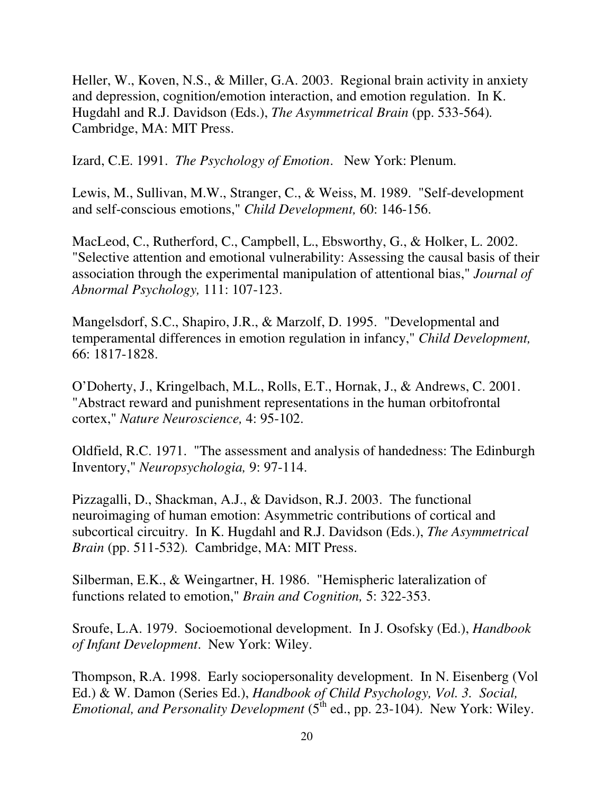Heller, W., Koven, N.S., & Miller, G.A. 2003. Regional brain activity in anxiety and depression, cognition/emotion interaction, and emotion regulation. In K. Hugdahl and R.J. Davidson (Eds.), *The Asymmetrical Brain* (pp. 533-564)*.* Cambridge, MA: MIT Press.

Izard, C.E. 1991. *The Psychology of Emotion*. New York: Plenum.

Lewis, M., Sullivan, M.W., Stranger, C., & Weiss, M. 1989. "Self-development and self-conscious emotions," *Child Development,* 60: 146-156.

MacLeod, C., Rutherford, C., Campbell, L., Ebsworthy, G., & Holker, L. 2002. "Selective attention and emotional vulnerability: Assessing the causal basis of their association through the experimental manipulation of attentional bias," *Journal of Abnormal Psychology,* 111: 107-123.

Mangelsdorf, S.C., Shapiro, J.R., & Marzolf, D. 1995. "Developmental and temperamental differences in emotion regulation in infancy," *Child Development,*  66: 1817-1828.

O'Doherty, J., Kringelbach, M.L., Rolls, E.T., Hornak, J., & Andrews, C. 2001. "Abstract reward and punishment representations in the human orbitofrontal cortex," *Nature Neuroscience,* 4: 95-102.

Oldfield, R.C. 1971. "The assessment and analysis of handedness: The Edinburgh Inventory," *Neuropsychologia,* 9: 97-114.

Pizzagalli, D., Shackman, A.J., & Davidson, R.J. 2003. The functional neuroimaging of human emotion: Asymmetric contributions of cortical and subcortical circuitry. In K. Hugdahl and R.J. Davidson (Eds.), *The Asymmetrical Brain* (pp. 511-532)*.* Cambridge, MA: MIT Press.

Silberman, E.K., & Weingartner, H. 1986. "Hemispheric lateralization of functions related to emotion," *Brain and Cognition,* 5: 322-353.

Sroufe, L.A. 1979. Socioemotional development. In J. Osofsky (Ed.), *Handbook of Infant Development*. New York: Wiley.

Thompson, R.A. 1998. Early sociopersonality development. In N. Eisenberg (Vol Ed.) & W. Damon (Series Ed.), *Handbook of Child Psychology, Vol. 3. Social, Emotional, and Personality Development* (5<sup>th</sup> ed., pp. 23-104). New York: Wiley.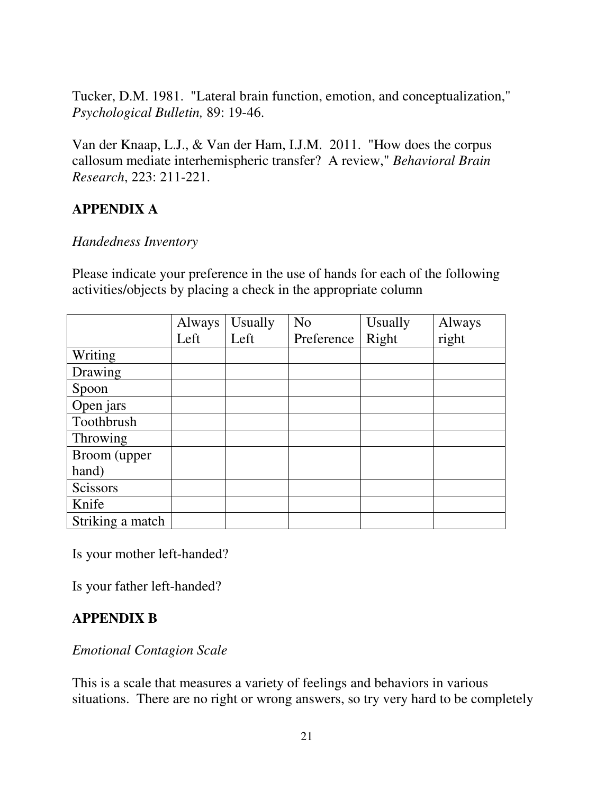Tucker, D.M. 1981. "Lateral brain function, emotion, and conceptualization," *Psychological Bulletin,* 89: 19-46.

Van der Knaap, L.J., & Van der Ham, I.J.M. 2011. "How does the corpus callosum mediate interhemispheric transfer? A review," *Behavioral Brain Research*, 223: 211-221.

## **APPENDIX A**

#### *Handedness Inventory*

Please indicate your preference in the use of hands for each of the following activities/objects by placing a check in the appropriate column

|                  | Always | <b>Usually</b> | N <sub>o</sub> | Usually | Always |
|------------------|--------|----------------|----------------|---------|--------|
|                  | Left   | Left           | Preference     | Right   | right  |
| Writing          |        |                |                |         |        |
| Drawing          |        |                |                |         |        |
| Spoon            |        |                |                |         |        |
| Open jars        |        |                |                |         |        |
| Toothbrush       |        |                |                |         |        |
| Throwing         |        |                |                |         |        |
| Broom (upper     |        |                |                |         |        |
| hand)            |        |                |                |         |        |
| Scissors         |        |                |                |         |        |
| Knife            |        |                |                |         |        |
| Striking a match |        |                |                |         |        |

Is your mother left-handed?

Is your father left-handed?

## **APPENDIX B**

#### *Emotional Contagion Scale*

This is a scale that measures a variety of feelings and behaviors in various situations. There are no right or wrong answers, so try very hard to be completely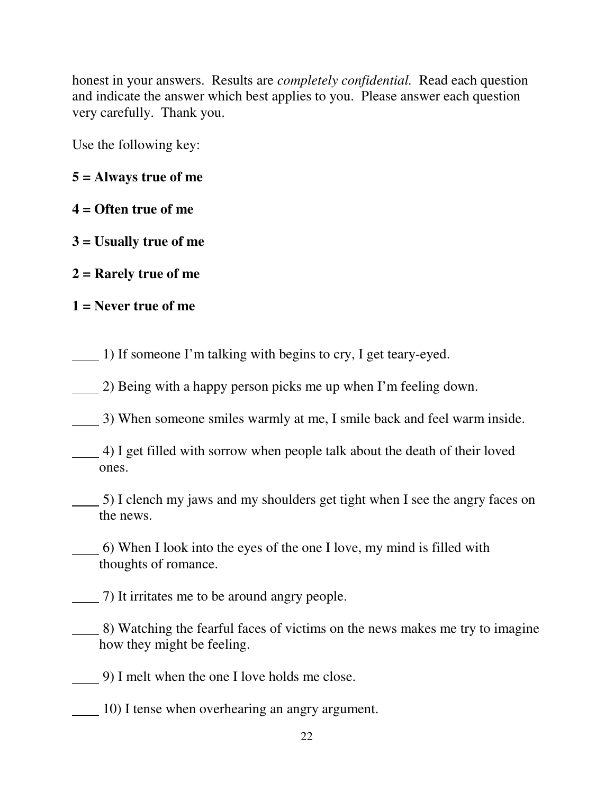honest in your answers. Results are *completely confidential.* Read each question and indicate the answer which best applies to you. Please answer each question very carefully. Thank you.

Use the following key:

- **5 = Always true of me**
- **4 = Often true of me**
- **3 = Usually true of me**
- **2 = Rarely true of me**
- **1 = Never true of me**

1) If someone I'm talking with begins to cry, I get teary-eyed.

2) Being with a happy person picks me up when I'm feeling down.

3) When someone smiles warmly at me, I smile back and feel warm inside.

- 4) I get filled with sorrow when people talk about the death of their loved ones.
- 5) I clench my jaws and my shoulders get tight when I see the angry faces on the news.
- 6) When I look into the eyes of the one I love, my mind is filled with thoughts of romance.
- 7) It irritates me to be around angry people.
- 8) Watching the fearful faces of victims on the news makes me try to imagine how they might be feeling.
- 9) I melt when the one I love holds me close.
- 10) I tense when overhearing an angry argument.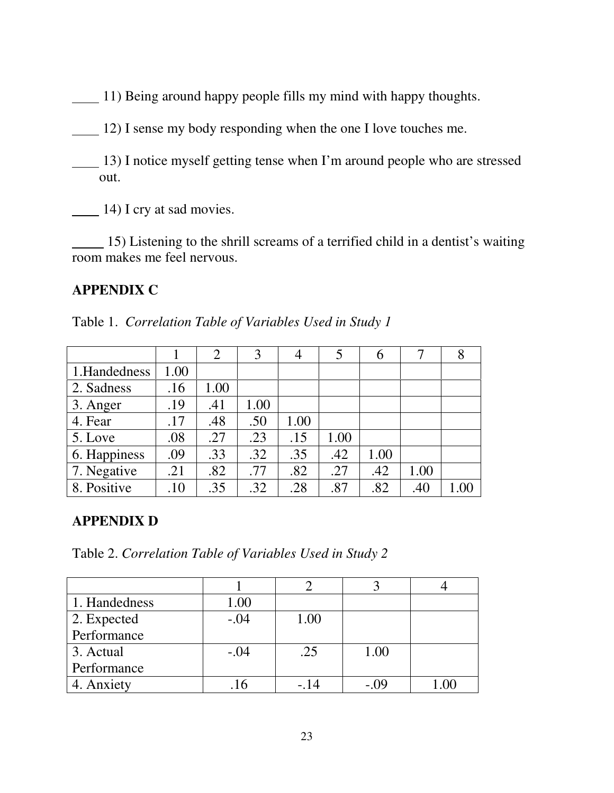11) Being around happy people fills my mind with happy thoughts.

 $12$ ) I sense my body responding when the one I love touches me.

 13) I notice myself getting tense when I'm around people who are stressed out.

 $\frac{14}{14}$  I cry at sad movies.

 15) Listening to the shrill screams of a terrified child in a dentist's waiting room makes me feel nervous.

#### **APPENDIX C**

|               |      | 2    | 3    |      | 5    | 6    | 7    |  |
|---------------|------|------|------|------|------|------|------|--|
| 1. Handedness | 1.00 |      |      |      |      |      |      |  |
| 2. Sadness    | .16  | 1.00 |      |      |      |      |      |  |
| 3. Anger      | .19  | .41  | 1.00 |      |      |      |      |  |
| 4. Fear       | .17  | .48  | .50  | 1.00 |      |      |      |  |
| 5. Love       | .08  | .27  | .23  | .15  | 1.00 |      |      |  |
| 6. Happiness  | .09  | .33  | .32  | .35  | .42  | 1.00 |      |  |
| 7. Negative   | .21  | .82  | .77  | .82  | .27  | .42  | 1.00 |  |
| 8. Positive   | .10  | .35  | .32  | .28  | .87  | .82  | .40  |  |

#### **APPENDIX D**

Table 2. *Correlation Table of Variables Used in Study 2* 

| 1. Handedness | 1.00   |      |       |  |
|---------------|--------|------|-------|--|
| 2. Expected   | $-.04$ | 1.00 |       |  |
| Performance   |        |      |       |  |
| 3. Actual     | $-.04$ | .25  | 1.00  |  |
| Performance   |        |      |       |  |
| 4. Anxiety    |        |      | - ()9 |  |